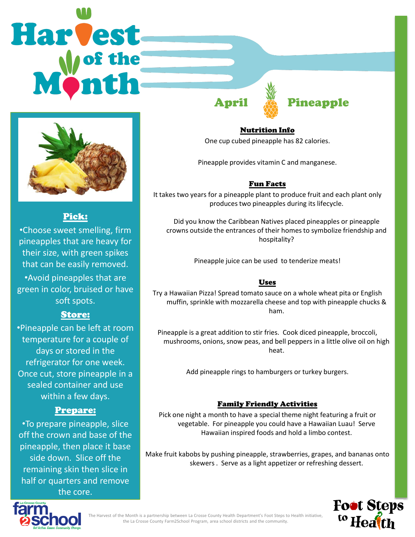# Harvest



## Pick:

•Choose sweet smelling, firm pineapples that are heavy for their size, with green spikes that can be easily removed. •Avoid pineapples that are green in color, bruised or have soft spots.

### Store:

•Pineapple can be left at room temperature for a couple of days or stored in the refrigerator for one week. Once cut, store pineapple in a sealed container and use within a few days.

### Prepare:

•To prepare pineapple, slice off the crown and base of the pineapple, then place it base side down. Slice off the remaining skin then slice in half or quarters and remove the core.

Nutrition Info

One cup cubed pineapple has 82 calories.

April **Executed Pineapple** 

Pineapple provides vitamin C and manganese.

### Fun Facts

It takes two years for a pineapple plant to produce fruit and each plant only produces two pineapples during its lifecycle.

Did you know the Caribbean Natives placed pineapples or pineapple crowns outside the entrances of their homes to symbolize friendship and hospitality?

Pineapple juice can be used to tenderize meats!

### Uses

Try a Hawaiian Pizza! Spread tomato sauce on a whole wheat pita or English muffin, sprinkle with mozzarella cheese and top with pineapple chucks & ham.

Pineapple is a great addition to stir fries. Cook diced pineapple, broccoli, mushrooms, onions, snow peas, and bell peppers in a little olive oil on high heat.

Add pineapple rings to hamburgers or turkey burgers.

### Family Friendly Activities

Pick one night a month to have a special theme night featuring a fruit or vegetable. For pineapple you could have a Hawaiian Luau! Serve Hawaiian inspired foods and hold a limbo contest.

Make fruit kabobs by pushing pineapple, strawberries, grapes, and bananas onto skewers . Serve as a light appetizer or refreshing dessert.